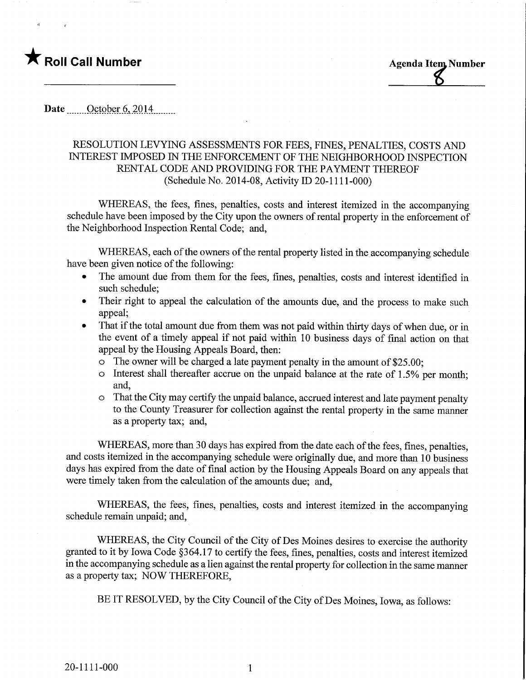

## Date October 6, 2014

## RESOLUTION LEVYING ASSESSMENTS FOR FEES, FINES, PENALTIES, COSTS AND INTEREST IMPOSED IN THE ENFORCEMENT OF THE NEIGHBORHOOD INSPECTION RENTAL CODE AND PROVIDING FOR THE PAYMENT THEREOF (Schedule No. 2014-08, Activity ID 20-1111-000)

WHEREAS, the fees, fines, penalties, costs and interest itemized in the accompanying schedule have been imposed by the City upon the owners of rental property in the enforcement of the Neighborhood Inspection Rental Code; and,

WHEREAS, each of the owners of the rental property listed in the accompanying schedule have been given notice of the following:

- The amount due from them for the fees, fines, penalties, costs and interest identified in such schedule;
- Their right to appeal the calculation of the amounts due, and the process to make such appeal;
- That if the total amount due from them was not paid within thirty days of when due, or in the event of a timely appeal if not paid within 10 business days of final action on that appeal by the Housing Appeals Board, then:
	- o The owner will be charged a late payment penalty in the amount of \$25.00;
	- $\circ$  Interest shall thereafter accrue on the unpaid balance at the rate of 1.5% per month; and,
	- o That the City may certify the unpaid balance, accrued interest and late payment penalty to the County Treasurer for collection against the rental property in the same manner as a property tax; and,

WHEREAS, more than 30 days has expired from the date each of the fees, fines, penalties, and costs itemized in the accompanying schedule were originally due, and more than 10 business days has expired from the date of final action by the Housing Appeals Board on any appeals that were timely taken from the calculation of the amounts due; and,

WHEREAS, the fees, fines, penalties, costs and interest itemized in the accompanying schedule remain unpaid; and,

WHEREAS, the City Council of the City of Des Moines desires to exercise the authority granted to it by Iowa Code §364.17 to certify the fees, fines, penalties, costs and interest itemized in the accompanying schedule as a lien against the rental property for collection in the same manner as a property tax; NOW THEREFORE,

BE IT RESOLVED, by the City Council of the City of Des Moines, Iowa, as follows:

 $\mathbf{1}$